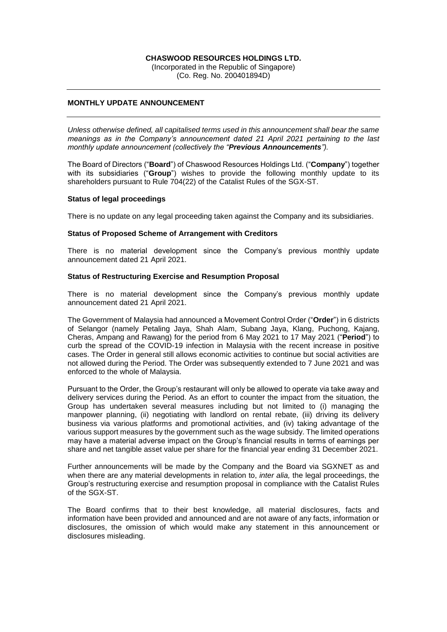### **CHASWOOD RESOURCES HOLDINGS LTD.**

(Incorporated in the Republic of Singapore) (Co. Reg. No. 200401894D)

# **MONTHLY UPDATE ANNOUNCEMENT**

*Unless otherwise defined, all capitalised terms used in this announcement shall bear the same meanings as in the Company's announcement dated 21 April 2021 pertaining to the last monthly update announcement (collectively the "Previous Announcements").*

The Board of Directors ("**Board**") of Chaswood Resources Holdings Ltd. ("**Company**") together with its subsidiaries ("**Group**") wishes to provide the following monthly update to its shareholders pursuant to Rule 704(22) of the Catalist Rules of the SGX-ST.

### **Status of legal proceedings**

There is no update on any legal proceeding taken against the Company and its subsidiaries.

#### **Status of Proposed Scheme of Arrangement with Creditors**

There is no material development since the Company's previous monthly update announcement dated 21 April 2021.

## **Status of Restructuring Exercise and Resumption Proposal**

There is no material development since the Company's previous monthly update announcement dated 21 April 2021.

The Government of Malaysia had announced a Movement Control Order ("**Order**") in 6 districts of Selangor (namely Petaling Jaya, Shah Alam, Subang Jaya, Klang, Puchong, Kajang, Cheras, Ampang and Rawang) for the period from 6 May 2021 to 17 May 2021 ("**Period**") to curb the spread of the COVID-19 infection in Malaysia with the recent increase in positive cases. The Order in general still allows economic activities to continue but social activities are not allowed during the Period. The Order was subsequently extended to 7 June 2021 and was enforced to the whole of Malaysia.

Pursuant to the Order, the Group's restaurant will only be allowed to operate via take away and delivery services during the Period. As an effort to counter the impact from the situation, the Group has undertaken several measures including but not limited to (i) managing the manpower planning, (ii) negotiating with landlord on rental rebate, (iii) driving its delivery business via various platforms and promotional activities, and (iv) taking advantage of the various support measures by the government such as the wage subsidy. The limited operations may have a material adverse impact on the Group's financial results in terms of earnings per share and net tangible asset value per share for the financial year ending 31 December 2021.

Further announcements will be made by the Company and the Board via SGXNET as and when there are any material developments in relation to, *inter alia,* the legal proceedings, the Group's restructuring exercise and resumption proposal in compliance with the Catalist Rules of the SGX-ST.

The Board confirms that to their best knowledge, all material disclosures, facts and information have been provided and announced and are not aware of any facts, information or disclosures, the omission of which would make any statement in this announcement or disclosures misleading.